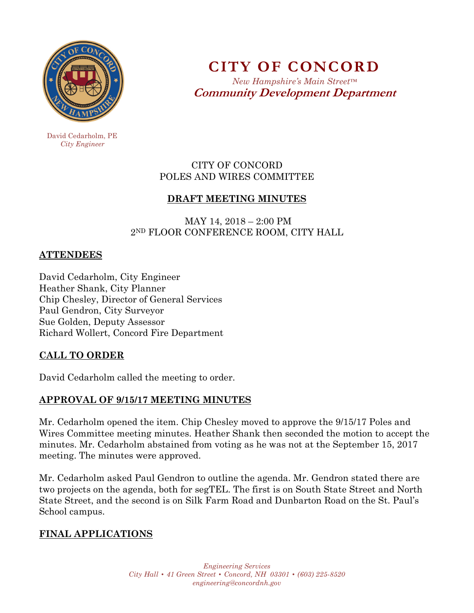

**CITY OF CONCORD**  *New Hampshire's Main Street™*

**Community Development Department** 

 David Cedarholm, PE  *City Engineer* 

### CITY OF CONCORD POLES AND WIRES COMMITTEE

# **DRAFT MEETING MINUTES**

 MAY 14, 2018 – 2:00 PM 2ND FLOOR CONFERENCE ROOM, CITY HALL

### **ATTENDEES**

David Cedarholm, City Engineer Heather Shank, City Planner Chip Chesley, Director of General Services Paul Gendron, City Surveyor Sue Golden, Deputy Assessor Richard Wollert, Concord Fire Department

## **CALL TO ORDER**

David Cedarholm called the meeting to order.

# **APPROVAL OF 9/15/17 MEETING MINUTES**

Mr. Cedarholm opened the item. Chip Chesley moved to approve the 9/15/17 Poles and Wires Committee meeting minutes. Heather Shank then seconded the motion to accept the minutes. Mr. Cedarholm abstained from voting as he was not at the September 15, 2017 meeting. The minutes were approved.

Mr. Cedarholm asked Paul Gendron to outline the agenda. Mr. Gendron stated there are two projects on the agenda, both for segTEL. The first is on South State Street and North State Street, and the second is on Silk Farm Road and Dunbarton Road on the St. Paul's School campus.

# **FINAL APPLICATIONS**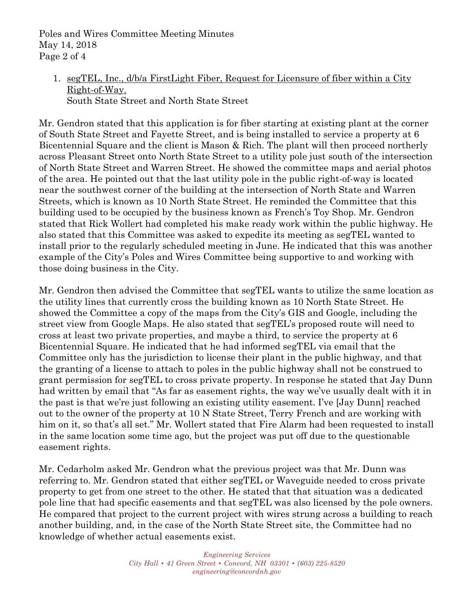Poles and Wires Committee Meeting Minutes May 14, 2018 Page 2 of 4

# 1. segTEL, Inc., d/b/a FirstLight Fiber, Request for Licensure of fiber within a City Right-of-Way.

South State Street and North State Street

Mr. Gendron stated that this application is for fiber starting at existing plant at the corner of South State Street and Fayette Street, and is being installed to service a property at 6 Bicentennial Square and the client is Mason & Rich. The plant will then proceed northerly across Pleasant Street onto North State Street to a utility pole just south of the intersection of North State Street and Warren Street. He showed the committee maps and aerial photos of the area. He pointed out that the last utility pole in the public right-of-way is located near the southwest corner of the building at the intersection of North State and Warren Streets, which is known as 10 North State Street. He reminded the Committee that this building used to be occupied by the business known as French's Toy Shop. Mr. Gendron stated that Rick Wollert had completed his make ready work within the public highway. He also stated that this Committee was asked to expedite its meeting as segTEL wanted to install prior to the regularly scheduled meeting in June. He indicated that this was another example of the City's Poles and Wires Committee being supportive to and working with those doing business in the City.

Mr. Gendron then advised the Committee that segTEL wants to utilize the same location as the utility lines that currently cross the building known as 10 North State Street. He showed the Committee a copy of the maps from the City's GIS and Google, including the street view from Google Maps. He also stated that segTEL's proposed route will need to cross at least two private properties, and maybe a third, to service the property at 6 Bicentennial Square. He indicated that he had informed segTEL via email that the Committee only has the jurisdiction to license their plant in the public highway, and that the granting of a license to attach to poles in the public highway shall not be construed to grant permission for segTEL to cross private property. In response he stated that Jay Dunn had written by email that "As far as easement rights, the way we've usually dealt with it in the past is that we're just following an existing utility easement. I've [Jay Dunn] reached out to the owner of the property at 10 N State Street, Terry French and are working with him on it, so that's all set." Mr. Wollert stated that Fire Alarm had been requested to install in the same location some time ago, but the project was put off due to the questionable easement rights.

Mr. Cedarholm asked Mr. Gendron what the previous project was that Mr. Dunn was referring to. Mr. Gendron stated that either segTEL or Waveguide needed to cross private property to get from one street to the other. He stated that that situation was a dedicated pole line that had specific easements and that segTEL was also licensed by the pole owners. He compared that project to the current project with wires strung across a building to reach another building, and, in the case of the North State Street site, the Committee had no knowledge of whether actual easements exist.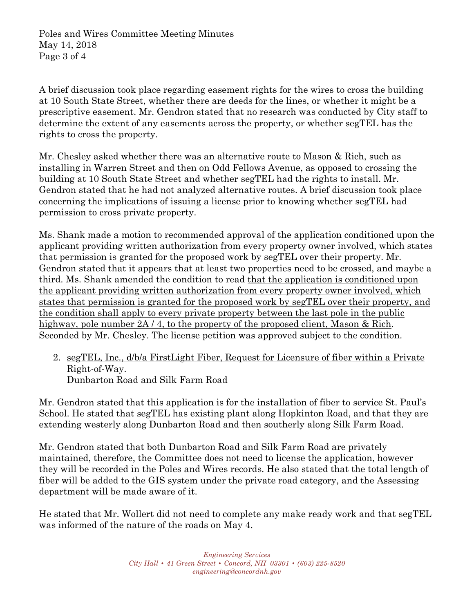Poles and Wires Committee Meeting Minutes May 14, 2018 Page 3 of 4

A brief discussion took place regarding easement rights for the wires to cross the building at 10 South State Street, whether there are deeds for the lines, or whether it might be a prescriptive easement. Mr. Gendron stated that no research was conducted by City staff to determine the extent of any easements across the property, or whether segTEL has the rights to cross the property.

Mr. Chesley asked whether there was an alternative route to Mason & Rich, such as installing in Warren Street and then on Odd Fellows Avenue, as opposed to crossing the building at 10 South State Street and whether segTEL had the rights to install. Mr. Gendron stated that he had not analyzed alternative routes. A brief discussion took place concerning the implications of issuing a license prior to knowing whether segTEL had permission to cross private property.

Ms. Shank made a motion to recommended approval of the application conditioned upon the applicant providing written authorization from every property owner involved, which states that permission is granted for the proposed work by segTEL over their property. Mr. Gendron stated that it appears that at least two properties need to be crossed, and maybe a third. Ms. Shank amended the condition to read that the application is conditioned upon the applicant providing written authorization from every property owner involved, which states that permission is granted for the proposed work by segTEL over their property, and the condition shall apply to every private property between the last pole in the public highway, pole number  $2A / 4$ , to the property of the proposed client, Mason & Rich. Seconded by Mr. Chesley. The license petition was approved subject to the condition.

2. segTEL, Inc., d/b/a FirstLight Fiber, Request for Licensure of fiber within a Private Right-of-Way. Dunbarton Road and Silk Farm Road

Mr. Gendron stated that this application is for the installation of fiber to service St. Paul's School. He stated that segTEL has existing plant along Hopkinton Road, and that they are extending westerly along Dunbarton Road and then southerly along Silk Farm Road.

Mr. Gendron stated that both Dunbarton Road and Silk Farm Road are privately maintained, therefore, the Committee does not need to license the application, however they will be recorded in the Poles and Wires records. He also stated that the total length of fiber will be added to the GIS system under the private road category, and the Assessing department will be made aware of it.

He stated that Mr. Wollert did not need to complete any make ready work and that segTEL was informed of the nature of the roads on May 4.